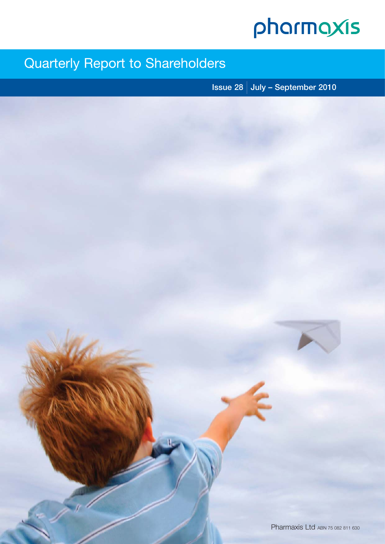# pharmaxis

# Quarterly Report to Shareholders

**Issue 28 July – September 2010**

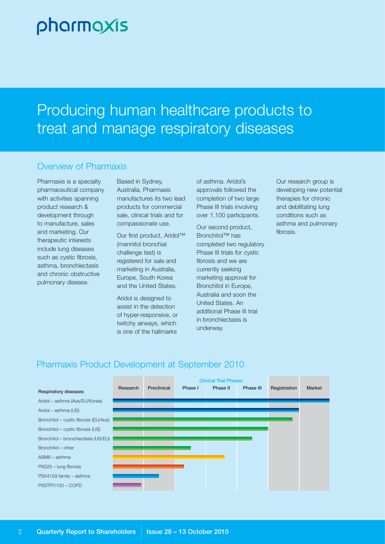# pharmaxis

# Producing human healthcare products to treat and manage respiratory diseases

#### Overview of Pharmaxis

Pharmaxis is a specialty pharmaceutical company with activities spanning product research & development through to manufacture, sales and marketing. Our therapeutic interests include lung diseases such as cystic fibrosis, asthma, bronchiectasis and chronic obstructive pulmonary disease.

Based in Sydney, Australia, Pharmaxis manufactures its two lead products for commercial sale, clinical trials and for compassionate use.

Our first product, Aridol™ (mannitol bronchial challenge test) is registered for sale and marketing in Australia, Europe, South Korea and the United States.

Aridol is designed to assist in the detection of hyper-responsive, or twitchy airways, which is one of the hallmarks

of asthma. Aridol's approvals followed the completion of two large Phase III trials involving over 1,100 participants.

Our second product, Bronchitol™ has completed two regulatory Phase III trials for cystic fibrosis and we are currently seeking marketing approval for Bronchitol in Europe, Australia and soon the United States. An additional Phase III trial in bronchiectasis is underway.

Our research group is developing new potential therapies for chronic and debilitating lung conditions such as asthma and pulmonary fibrosis.

## Pharmaxis Product Development at September 2010

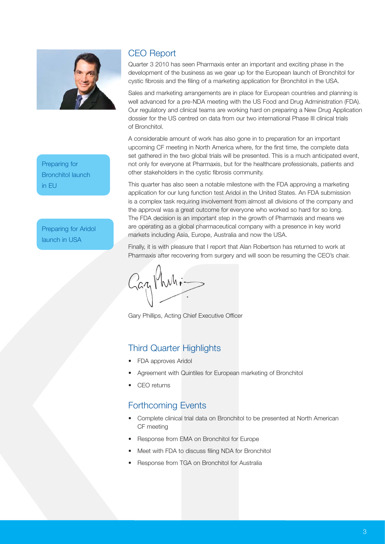

Preparing for Bronchitol launch in EU

Preparing for Aridol launch in USA

### CEO Report

Quarter 3 2010 has seen Pharmaxis enter an important and exciting phase in the development of the business as we gear up for the European launch of Bronchitol for cystic fibrosis and the filing of a marketing application for Bronchitol in the USA.

Sales and marketing arrangements are in place for European countries and planning is well advanced for a pre-NDA meeting with the US Food and Drug Administration (FDA). Our regulatory and clinical teams are working hard on preparing a New Drug Application dossier for the US centred on data from our two international Phase III clinical trials of Bronchitol.

A considerable amount of work has also gone in to preparation for an important upcoming CF meeting in North America where, for the first time, the complete data set gathered in the two global trials will be presented. This is a much anticipated event, not only for everyone at Pharmaxis, but for the healthcare professionals, patients and other stakeholders in the cystic fibrosis community.

This quarter has also seen a notable milestone with the FDA approving a marketing application for our lung function test Aridol in the United States. An FDA submission is a complex task requiring involvement from almost all divisions of the company and the approval was a great outcome for everyone who worked so hard for so long. The FDA decision is an important step in the growth of Pharmaxis and means we are operating as a global pharmaceutical company with a presence in key world markets including Asia, Europe, Australia and now the USA.

Finally, it is with pleasure that I report that Alan Robertson has returned to work at Pharmaxis after recovering from surgery and will soon be resuming the CEO's chair.

Gazy Muli-

Gary Phillips, Acting Chief Executive Officer

#### Third Quarter Highlights

- FDA approves Aridol
- Agreement with Quintiles for European marketing of Bronchitol
- CEO returns

#### Forthcoming Events

- Complete clinical trial data on Bronchitol to be presented at North American CF meeting
- Response from EMA on Bronchitol for Europe
- Meet with FDA to discuss filing NDA for Bronchitol
- Response from TGA on Bronchitol for Australia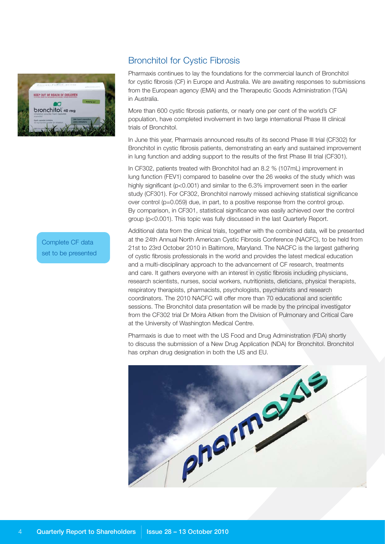

#### Bronchitol for Cystic Fibrosis

Pharmaxis continues to lay the foundations for the commercial launch of Bronchitol for cystic fibrosis (CF) in Europe and Australia. We are awaiting responses to submissions from the European agency (EMA) and the Therapeutic Goods Administration (TGA) in Australia.

More than 600 cystic fibrosis patients, or nearly one per cent of the world's CF population, have completed involvement in two large international Phase III clinical trials of Bronchitol.

In June this year, Pharmaxis announced results of its second Phase III trial (CF302) for Bronchitol in cystic fibrosis patients, demonstrating an early and sustained improvement in lung function and adding support to the results of the first Phase III trial (CF301).

In CF302, patients treated with Bronchitol had an 8.2 % (107mL) improvement in lung function (FEV1) compared to baseline over the 26 weeks of the study which was highly significant (p<0.001) and similar to the 6.3% improvement seen in the earlier study (CF301). For CF302, Bronchitol narrowly missed achieving statistical significance over control (p=0.059) due, in part, to a positive response from the control group. By comparison, in CF301, statistical significance was easily achieved over the control group (p<0.001). This topic was fully discussed in the last Quarterly Report.

Additional data from the clinical trials, together with the combined data, will be presented at the 24th Annual North American Cystic Fibrosis Conference (NACFC), to be held from 21st to 23rd October 2010 in Baltimore, Maryland. The NACFC is the largest gathering of cystic fibrosis professionals in the world and provides the latest medical education and a multi-disciplinary approach to the advancement of CF research, treatments and care. It gathers everyone with an interest in cystic fibrosis including physicians, research scientists, nurses, social workers, nutritionists, dieticians, physical therapists, respiratory therapists, pharmacists, psychologists, psychiatrists and research coordinators. The 2010 NACFC will offer more than 70 educational and scientific sessions. The Bronchitol data presentation will be made by the principal investigator from the CF302 trial Dr Moira Aitken from the Division of Pulmonary and Critical Care at the University of Washington Medical Centre.

Pharmaxis is due to meet with the US Food and Drug Administration (FDA) shortly to discuss the submission of a New Drug Application (NDA) for Bronchitol. Bronchitol has orphan drug designation in both the US and EU.



Complete CF data set to be presented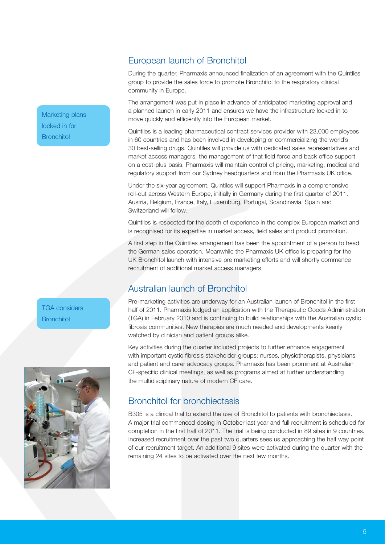#### European launch of Bronchitol

During the quarter, Pharmaxis announced finalization of an agreement with the Quintiles group to provide the sales force to promote Bronchitol to the respiratory clinical community in Europe.

The arrangement was put in place in advance of anticipated marketing approval and a planned launch in early 2011 and ensures we have the infrastructure locked in to move quickly and efficiently into the European market.

Quintiles is a leading pharmaceutical contract services provider with 23,000 employees in 60 countries and has been involved in developing or commercializing the world's 30 best-selling drugs. Quintiles will provide us with dedicated sales representatives and market access managers, the management of that field force and back office support on a cost-plus basis. Pharmaxis will maintain control of pricing, marketing, medical and regulatory support from our Sydney headquarters and from the Pharmaxis UK office.

Under the six-year agreement, Quintiles will support Pharmaxis in a comprehensive roll-out across Western Europe, initially in Germany during the first quarter of 2011. Austria, Belgium, France, Italy, Luxemburg, Portugal, Scandinavia, Spain and Switzerland will follow.

Quintiles is respected for the depth of experience in the complex European market and is recognised for its expertise in market access, field sales and product promotion.

A first step in the Quintiles arrangement has been the appointment of a person to head the German sales operation. Meanwhile the Pharmaxis UK office is preparing for the UK Bronchitol launch with intensive pre marketing efforts and will shortly commence recruitment of additional market access managers.

## Australian launch of Bronchitol

Pre-marketing activities are underway for an Australian launch of Bronchitol in the first half of 2011. Pharmaxis lodged an application with the Therapeutic Goods Administration (TGA) in February 2010 and is continuing to build relationships with the Australian cystic fibrosis communities. New therapies are much needed and developments keenly watched by clinician and patient groups alike.

Key activities during the quarter included projects to further enhance engagement with important cystic fibrosis stakeholder groups: nurses, physiotherapists, physicians and patient and carer advocacy groups. Pharmaxis has been prominent at Australian CF-specific clinical meetings, as well as programs aimed at further understanding the multidisciplinary nature of modern CF care.

#### Bronchitol for bronchiectasis

B305 is a clinical trial to extend the use of Bronchitol to patients with bronchiectasis. A major trial commenced dosing in October last year and full recruitment is scheduled for completion in the first half of 2011. The trial is being conducted in 89 sites in 9 countries. Increased recruitment over the past two quarters sees us approaching the half way point of our recruitment target. An additional 9 sites were activated during the quarter with the remaining 24 sites to be activated over the next few months.

Marketing plans locked in for **Bronchitol** 

TGA considers **Bronchitol** 

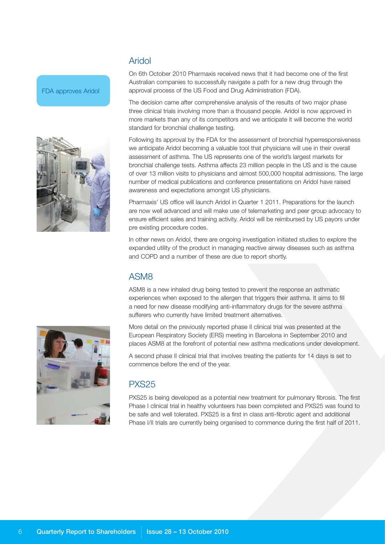#### Aridol

FDA approves Aridol



On 6th October 2010 Pharmaxis received news that it had become one of the first Australian companies to successfully navigate a path for a new drug through the approval process of the US Food and Drug Administration (FDA).

The decision came after comprehensive analysis of the results of two major phase three clinical trials involving more than a thousand people. Aridol is now approved in more markets than any of its competitors and we anticipate it will become the world standard for bronchial challenge testing.

Following its approval by the FDA for the assessment of bronchial hyperresponsiveness we anticipate Aridol becoming a valuable tool that physicians will use in their overall assessment of asthma. The US represents one of the world's largest markets for bronchial challenge tests. Asthma affects 23 million people in the US and is the cause of over 13 million visits to physicians and almost 500,000 hospital admissions. The large number of medical publications and conference presentations on Aridol have raised awareness and expectations amongst US physicians.

Pharmaxis' US office will launch Aridol in Quarter 1 2011. Preparations for the launch are now well advanced and will make use of telemarketing and peer group advocacy to ensure efficient sales and training activity. Aridol will be reimbursed by US payors under pre existing procedure codes.

In other news on Aridol, there are ongoing investigation initiated studies to explore the expanded utility of the product in managing reactive airway diseases such as asthma and COPD and a number of these are due to report shortly.

## ASM8

ASM8 is a new inhaled drug being tested to prevent the response an asthmatic experiences when exposed to the allergen that triggers their asthma. It aims to fill a need for new disease modifying anti-inflammatory drugs for the severe asthma sufferers who currently have limited treatment alternatives.

More detail on the previously reported phase II clinical trial was presented at the European Respiratory Society (ERS) meeting in Barcelona in September 2010 and places ASM8 at the forefront of potential new asthma medications under development.

A second phase II clinical trial that involves treating the patients for 14 days is set to commence before the end of the year.

#### PXS25

PXS25 is being developed as a potential new treatment for pulmonary fibrosis. The first Phase I clinical trial in healthy volunteers has been completed and PXS25 was found to be safe and well tolerated. PXS25 is a first in class anti-fibrotic agent and additional Phase I/II trials are currently being organised to commence during the first half of 2011.

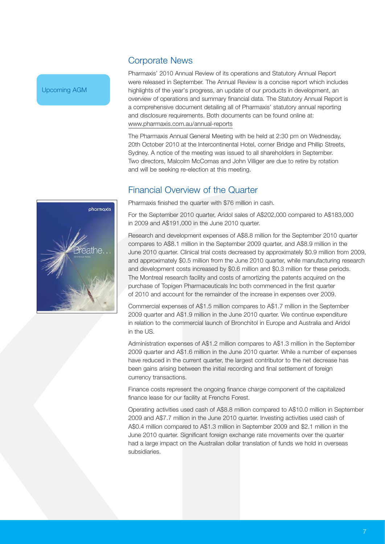#### Corporate News

Pharmaxis' 2010 Annual Review of its operations and Statutory Annual Report were released in September. The Annual Review is a concise report which includes highlights of the year's progress, an update of our products in development, an overview of operations and summary financial data. The Statutory Annual Report is a comprehensive document detailing all of Pharmaxis' statutory annual reporting and disclosure requirements. Both documents can be found online at: www.pharmaxis.com.au/annual-reports

The Pharmaxis Annual General Meeting with be held at 2:30 pm on Wednesday, 20th October 2010 at the Intercontinental Hotel, corner Bridge and Phillip Streets, Sydney. A notice of the meeting was issued to all shareholders in September. Two directors, Malcolm McComas and John Villiger are due to retire by rotation and will be seeking re-election at this meeting.

### Financial Overview of the Quarter



For the September 2010 quarter, Aridol sales of A\$202,000 compared to A\$183,000 in 2009 and A\$191,000 in the June 2010 quarter.

Research and development expenses of A\$8.8 million for the September 2010 quarter compares to A\$8.1 million in the September 2009 quarter, and A\$8.9 million in the June 2010 quarter. Clinical trial costs decreased by approximately \$0.9 million from 2009, and approximately \$0.5 million from the June 2010 quarter, while manufacturing research and development costs increased by \$0.6 million and \$0.3 million for these periods. The Montreal research facility and costs of amortizing the patents acquired on the purchase of Topigen Pharmaceuticals Inc both commenced in the first quarter of 2010 and account for the remainder of the increase in expenses over 2009.

Commercial expenses of A\$1.5 million compares to A\$1.7 million in the September 2009 quarter and A\$1.9 million in the June 2010 quarter. We continue expenditure in relation to the commercial launch of Bronchitol in Europe and Australia and Aridol in the US.

Administration expenses of A\$1.2 million compares to A\$1.3 million in the September 2009 quarter and A\$1.6 million in the June 2010 quarter. While a number of expenses have reduced in the current quarter, the largest contributor to the net decrease has been gains arising between the initial recording and final settlement of foreign currency transactions.

Finance costs represent the ongoing finance charge component of the capitalized finance lease for our facility at Frenchs Forest.

Operating activities used cash of A\$8.8 million compared to A\$10.0 million in September 2009 and A\$7.7 million in the June 2010 quarter. Investing activities used cash of A\$0.4 million compared to A\$1.3 million in September 2009 and \$2.1 million in the June 2010 quarter. Significant foreign exchange rate movements over the quarter had a large impact on the Australian dollar translation of funds we hold in overseas subsidiaries.



Upcoming AGM